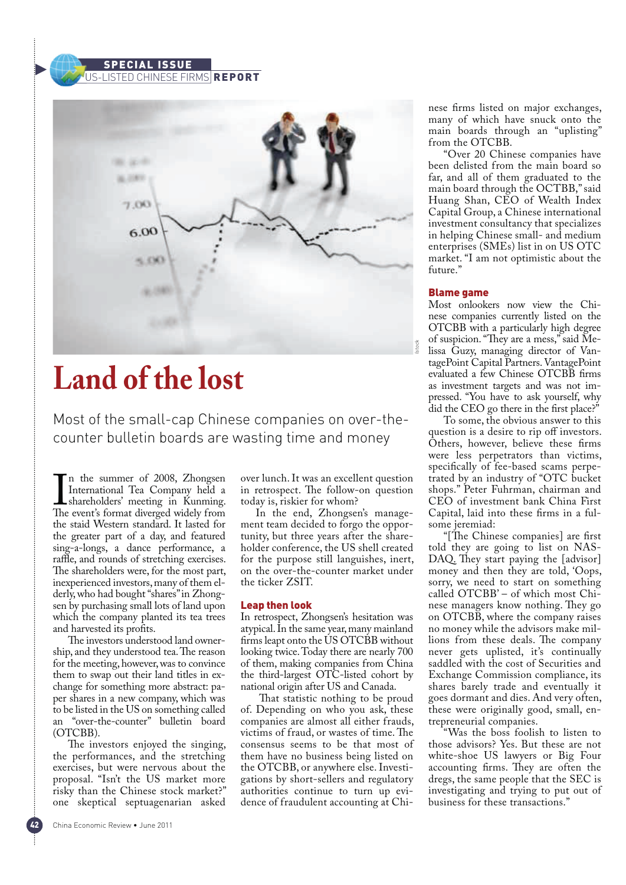# SPECIAL US-LISTED CHINESE FIRMS REPORT



# **Land of the lost**

Most of the small-cap Chinese companies on over-thecounter bulletin boards are wasting time and money

In the summer of 2008, Zhongsen<br>International Tea Company held a<br>shareholders' meeting in Kunming.<br>The event's format diverged widely from n the summer of 2008, Zhongsen International Tea Company held a shareholders' meeting in Kunming. the staid Western standard. It lasted for the greater part of a day, and featured sing-a-longs, a dance performance, a raffle, and rounds of stretching exercises. The shareholders were, for the most part, inexperienced investors, many of them elderly, who had bought "shares" in Zhongsen by purchasing small lots of land upon which the company planted its tea trees and harvested its profits.

The investors understood land ownership, and they understood tea. The reason for the meeting, however, was to convince them to swap out their land titles in exchange for something more abstract: paper shares in a new company, which was to be listed in the US on something called an "over-the-counter" bulletin board (OTCBB).

The investors enjoyed the singing, the performances, and the stretching exercises, but were nervous about the proposal. "Isn't the US market more risky than the Chinese stock market?" one skeptical septuagenarian asked

China Economic Review . June 2011

over lunch. It was an excellent question in retrospect. The follow-on question today is, riskier for whom?

In the end, Zhongsen's management team decided to forgo the opportunity, but three years after the shareholder conference, the US shell created for the purpose still languishes, inert, on the over-the-counter market under the ticker ZSIT.

## Leap then look

In retrospect, Zhongsen's hesitation was atypical. In the same year, many mainland firms leapt onto the US OTCBB without looking twice. Today there are nearly 700 of them, making companies from China the third-largest OTC-listed cohort by national origin after US and Canada.

That statistic nothing to be proud of. Depending on who you ask, these companies are almost all either frauds, victims of fraud, or wastes of time. The consensus seems to be that most of them have no business being listed on the OTCBB, or anywhere else. Investigations by short-sellers and regulatory authorities continue to turn up evidence of fraudulent accounting at Chinese firms listed on major exchanges, many of which have snuck onto the main boards through an "uplisting" from the OTCBB.

"Over 20 Chinese companies have been delisted from the main board so far, and all of them graduated to the main board through the OCTBB," said Huang Shan, CEO of Wealth Index Capital Group, a Chinese international investment consultancy that specializes in helping Chinese small- and medium enterprises (SMEs) list in on US OTC market. "I am not optimistic about the future."

### Blame game

Most onlookers now view the Chinese companies currently listed on the OTCBB with a particularly high degree of suspicion. "They are a mess," said Melissa Guzy, managing director of VantagePoint Capital Partners. VantagePoint evaluated a few Chinese OTCBB firms as investment targets and was not impressed. "You have to ask yourself, why did the CEO go there in the first place?"

To some, the obvious answer to this question is a desire to rip off investors. Others, however, believe these firms were less perpetrators than victims, specifically of fee-based scams perpetrated by an industry of "OTC bucket shops." Peter Fuhrman, chairman and CEO of investment bank China First Capital, laid into these firms in a fulsome jeremiad:

"[The Chinese companies] are first told they are going to list on NAS-DAQ. They start paying the [advisor] money and then they are told, 'Oops, sorry, we need to start on something called OTCBB' – of which most Chinese managers know nothing. They go on OTCBB, where the company raises no money while the advisors make millions from these deals. The company never gets uplisted, it's continually saddled with the cost of Securities and Exchange Commission compliance, its shares barely trade and eventually it goes dormant and dies. And very often, these were originally good, small, entrepreneurial companies.

"Was the boss foolish to listen to those advisors? Yes. But these are not white-shoe US lawyers or Big Four accounting firms. They are often the dregs, the same people that the SEC is investigating and trying to put out of business for these transactions."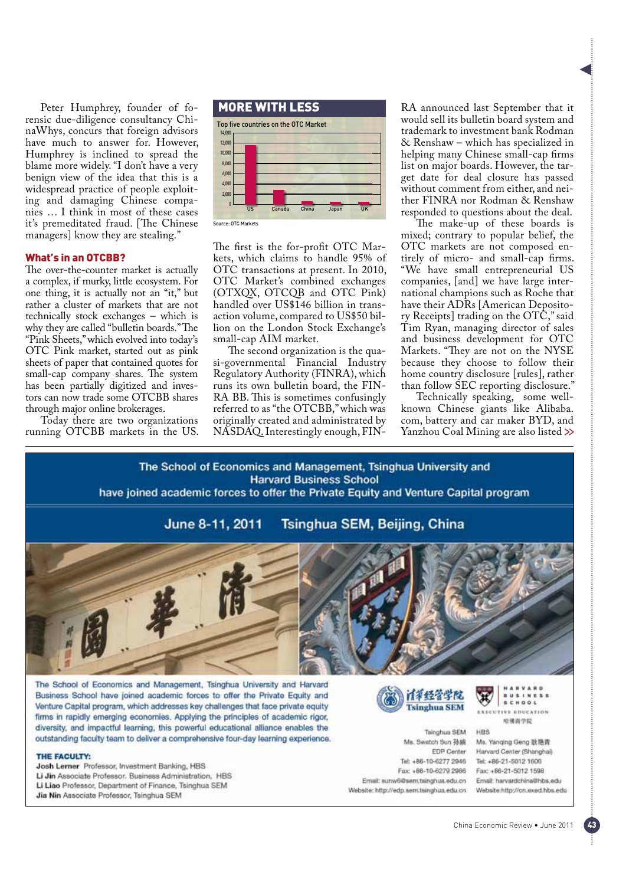Peter Humphrey, founder of forensic due-diligence consultancy ChinaWhys, concurs that foreign advisors have much to answer for. However, Humphrey is inclined to spread the blame more widely. "I don't have a very benign view of the idea that this is a widespread practice of people exploiting and damaging Chinese companies … I think in most of these cases it's premeditated fraud. [The Chinese managers] know they are stealing."

# What's in an OTCBB?

The over-the-counter market is actually a complex, if murky, little ecosystem. For one thing, it is actually not an "it," but rather a cluster of markets that are not technically stock exchanges – which is why they are called "bulletin boards." The "Pink Sheets," which evolved into today's OTC Pink market, started out as pink sheets of paper that contained quotes for small-cap company shares. The system has been partially digitized and investors can now trade some OTCBB shares through major online brokerages.

Today there are two organizations running OTCBB markets in the US.



The first is the for-profit OTC Markets, which claims to handle 95% of OTC transactions at present. In 2010, OTC Market's combined exchanges (OTXQX, OTCQB and OTC Pink) handled over US\$146 billion in transaction volume, compared to US\$50 billion on the London Stock Exchange's small-cap AIM market.

The second organization is the quasi-governmental Financial Industry Regulatory Authority (FINRA), which runs its own bulletin board, the FIN-RA BB. This is sometimes confusingly referred to as "the OTCBB," which was originally created and administrated by NASDAQ. Interestingly enough, FIN-

RA announced last September that it would sell its bulletin board system and trademark to investment bank Rodman & Renshaw – which has specialized in helping many Chinese small-cap firms list on major boards. However, the target date for deal closure has passed without comment from either, and neither FINRA nor Rodman & Renshaw responded to questions about the deal.

The make-up of these boards is mixed; contrary to popular belief, the OTC markets are not composed entirely of micro- and small-cap firms. "We have small entrepreneurial US companies, [and] we have large international champions such as Roche that have their ADRs [American Depository Receipts] trading on the OTC," said Tim Ryan, managing director of sales and business development for OTC Markets. "They are not on the NYSE because they choose to follow their home country disclosure [rules], rather than follow SEC reporting disclosure."

Technically speaking, some wellknown Chinese giants like Alibaba. com, battery and car maker BYD, and Yanzhou Coal Mining are also listed  $\gg$ 

The School of Economics and Management, Tsinghua University and **Harvard Business School** 

have joined academic forces to offer the Private Equity and Venture Capital program

June 8-11, 2011 Tsinghua SEM, Beijing, China



The School of Economics and Management, Tsinghua University and Harvard Business School have joined academic forces to offer the Private Equity and Venture Capital program, which addresses key challenges that face private equity firms in rapidly emerging economies. Applying the principles of academic rigor, diversity, and impactful learning, this powerful educational alliance enables the outstanding faculty team to deliver a comprehensive four-day learning experience.

#### THE EACHITY-

Josh Lerner Professor, Investment Banking, HBS Li Jin Associate Professor. Business Administration, HBS Li Liao Professor, Department of Finance, Tsinghua SEM Jia Nin Associate Professor, Tsinghua SEM



Tsinghua SEM Ms. Swatch Sun 孙婉 EDP Center Tel: +86-10-6277 2946 Fax: +86-10-6279 2986 Email: surw6@sem.tsinghua.edu.cn Website: http://edp.sem.tsinghua.edu.cn  $\mathbb R$ SCHOOL *EXECUTIVE EDUCATION* 哈佛首学院

**HBS** 

Ms. Yanging Geng 耿艳青 Harvard Center (Shanghai) Tel: +86-21-5012 1606 Fax: +86-21-5012 1598 Email: harvardchine@hbs.edu Website:http://cn.exed.hbs.edu